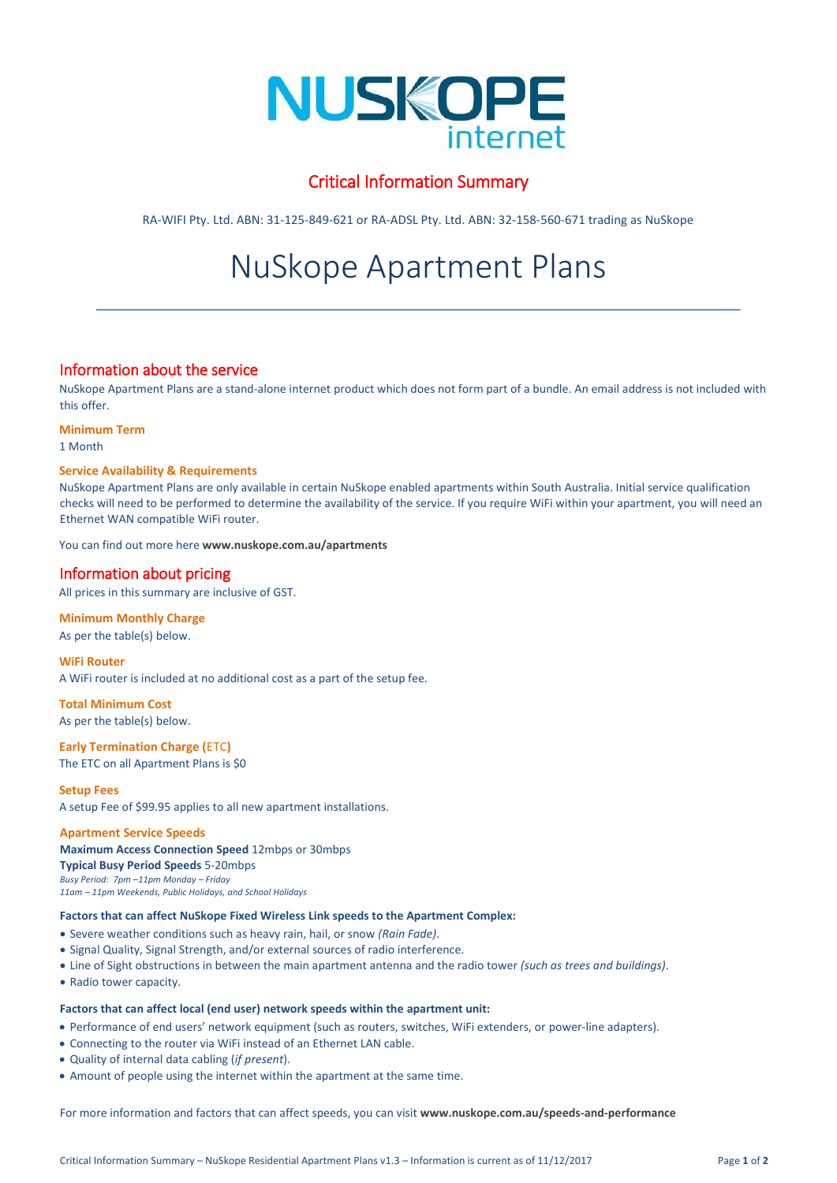

## Critical Information Summary

RA-WIFI Pty. Ltd. ABN: 31-125-849-621 or RA-ADSL Pty. Ltd. ABN: 32-158-560-671 trading as NuSkope

# NuSkope Apartment Plans

## Information about the service

NuSkope Apartment Plans are a stand-alone internet product which does not form part of a bundle. An email address is not included with this offer.

**Minimum Term**

1 Month

## **Service Availability & Requirements**

NuSkope Apartment Plans are only available in certain NuSkope enabled apartments within South Australia. Initial service qualification checks will need to be performed to determine the availability of the service. If you require WiFi within your apartment, you will need an Ethernet WAN compatible WiFi router.

You can find out more here **[www.nuskope.com.au/apartments](http://www.nuskope.com.au/apartments)**

## Information about pricing

All prices in this summary are inclusive of GST.

## **Minimum Monthly Charge**

As per the table(s) below.

**WiFi Router** A WiFi router is included at no additional cost as a part of the setup fee.

**Total Minimum Cost** As per the table(s) below.

**Early Termination Charge (**ETC**)** The ETC on all Apartment Plans is \$0

**Setup Fees** A setup Fee of \$99.95 applies to all new apartment installations.

**Apartment Service Speeds Maximum Access Connection Speed** 12mbps or 30mbps **Typical Busy Period Speeds** 5-20mbps *Busy Period: 7pm –11pm Monday – Friday 11am – 11pm Weekends, Public Holidays, and School Holidays*

### **Factors that can affect NuSkope Fixed Wireless Link speeds to the Apartment Complex:**

- Severe weather conditions such as heavy rain, hail, or snow *(Rain Fade)*.
- Signal Quality, Signal Strength, and/or external sources of radio interference.
- Line of Sight obstructions in between the main apartment antenna and the radio tower *(such as trees and buildings)*.
- Radio tower capacity.

## **Factors that can affect local (end user) network speeds within the apartment unit:**

- Performance of end users' network equipment (such as routers, switches, WiFi extenders, or power-line adapters).
- Connecting to the router via WiFi instead of an Ethernet LAN cable.
- Quality of internal data cabling (*if present*).
- Amount of people using the internet within the apartment at the same time.

For more information and factors that can affect speeds, you can visit **[www.nuskope.com.au/speeds-and-performance](http://www.nuskope.com.au/speeds-and-performance)**